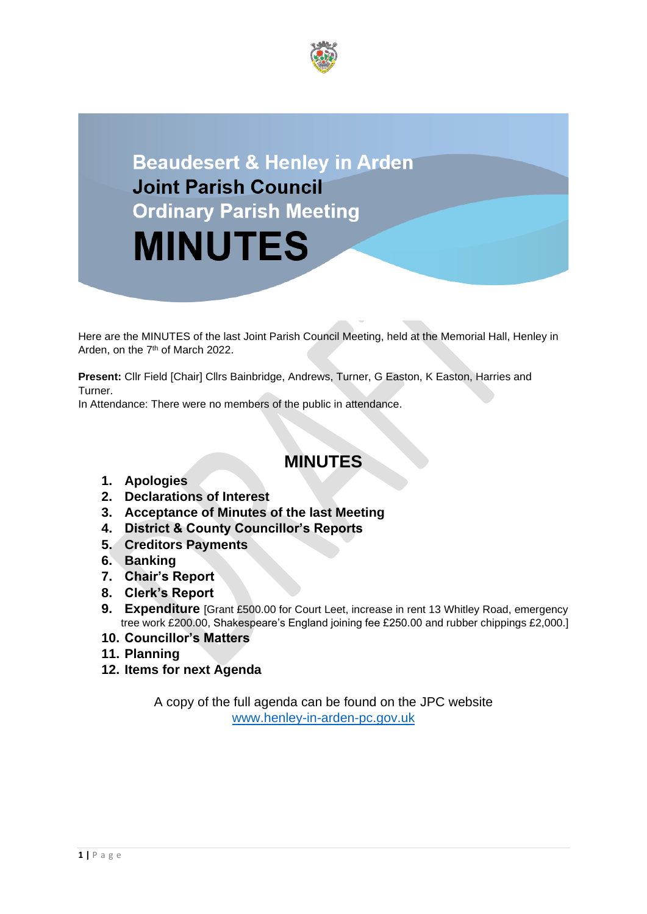

# **Beaudesert & Henley in Arden Joint Parish Council Ordinary Parish Meeting MINUTES**

Here are the MINUTES of the last Joint Parish Council Meeting, held at the Memorial Hall, Henley in Arden, on the 7<sup>th</sup> of March 2022.

**Present:** Cllr Field [Chair] Cllrs Bainbridge, Andrews, Turner, G Easton, K Easton, Harries and Turner.

In Attendance: There were no members of the public in attendance.

### **MINUTES**

- **1. Apologies**
- **2. Declarations of Interest**
- **3. Acceptance of Minutes of the last Meeting**
- **4. District & County Councillor's Reports**
- **5. Creditors Payments**
- **6. Banking**
- **7. Chair's Report**
- **8. Clerk's Report**
- **9. Expenditure** [Grant £500.00 for Court Leet, increase in rent 13 Whitley Road, emergency tree work £200.00, Shakespeare's England joining fee £250.00 and rubber chippings £2,000.]
- **10. Councillor's Matters**
- **11. Planning**
- **12. Items for next Agenda**

A copy of the full agenda can be found on the JPC website [www.henley-in-arden-pc.gov.uk](http://www.henley-in-arden-pc.gov.uk/)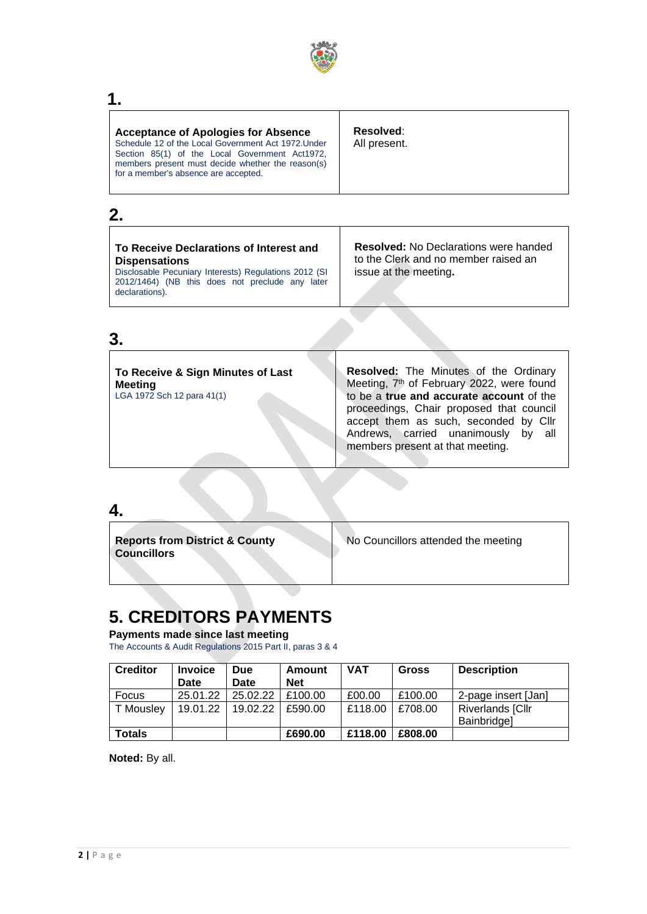

## **1.**

| <b>Acceptance of Apologies for Absence</b><br>Schedule 12 of the Local Government Act 1972. Under<br>Section 85(1) of the Local Government Act1972,<br>members present must decide whether the reason(s)<br>for a member's absence are accepted. | Resolved:<br>All present. |
|--------------------------------------------------------------------------------------------------------------------------------------------------------------------------------------------------------------------------------------------------|---------------------------|
|--------------------------------------------------------------------------------------------------------------------------------------------------------------------------------------------------------------------------------------------------|---------------------------|

### **2.**

| To Receive Declarations of Interest and<br><b>Dispensations</b><br>Disclosable Pecuniary Interests) Regulations 2012 (SI<br>2012/1464) (NB this does not preclude any later | <b>Resolved:</b> No Declarations were handed<br>to the Clerk and no member raised an<br>issue at the meeting. |
|-----------------------------------------------------------------------------------------------------------------------------------------------------------------------------|---------------------------------------------------------------------------------------------------------------|
| declarations).                                                                                                                                                              |                                                                                                               |

### **3.**

| to be a true and accurate account of the<br>LGA 1972 Sch 12 para 41(1)<br>proceedings, Chair proposed that council<br>accept them as such, seconded by Cllr<br>Andrews, carried unanimously by all<br>members present at that meeting. | To Receive & Sign Minutes of Last<br><b>Meeting</b> | <b>Resolved:</b> The Minutes of the Ordinary<br>Meeting, 7 <sup>th</sup> of February 2022, were found |
|----------------------------------------------------------------------------------------------------------------------------------------------------------------------------------------------------------------------------------------|-----------------------------------------------------|-------------------------------------------------------------------------------------------------------|
|----------------------------------------------------------------------------------------------------------------------------------------------------------------------------------------------------------------------------------------|-----------------------------------------------------|-------------------------------------------------------------------------------------------------------|

### **4.**

| <b>Reports from District &amp; County</b><br><b>Councillors</b> | No Councillors attended the meeting |
|-----------------------------------------------------------------|-------------------------------------|
|                                                                 |                                     |

### **5. CREDITORS PAYMENTS**

### **Payments made since last meeting**

The Accounts & Audit Regulations 2015 Part II, paras 3 & 4

| <b>Creditor</b> | Invoice<br>Date | <b>Due</b><br><b>Date</b> | Amount<br><b>Net</b> | VAT     | Gross   | <b>Description</b>                     |
|-----------------|-----------------|---------------------------|----------------------|---------|---------|----------------------------------------|
| Focus           | 25.01.22        | 25.02.22                  | £100.00              | £00.00  | £100.00 | 2-page insert [Jan]                    |
| Mousley         | 19.01.22        | 19.02.22                  | £590.00              | £118.00 | £708.00 | <b>Riverlands [Cllr</b><br>Bainbridge] |
| <b>Totals</b>   |                 |                           | £690.00              | £118.00 | £808.00 |                                        |

### **Noted:** By all.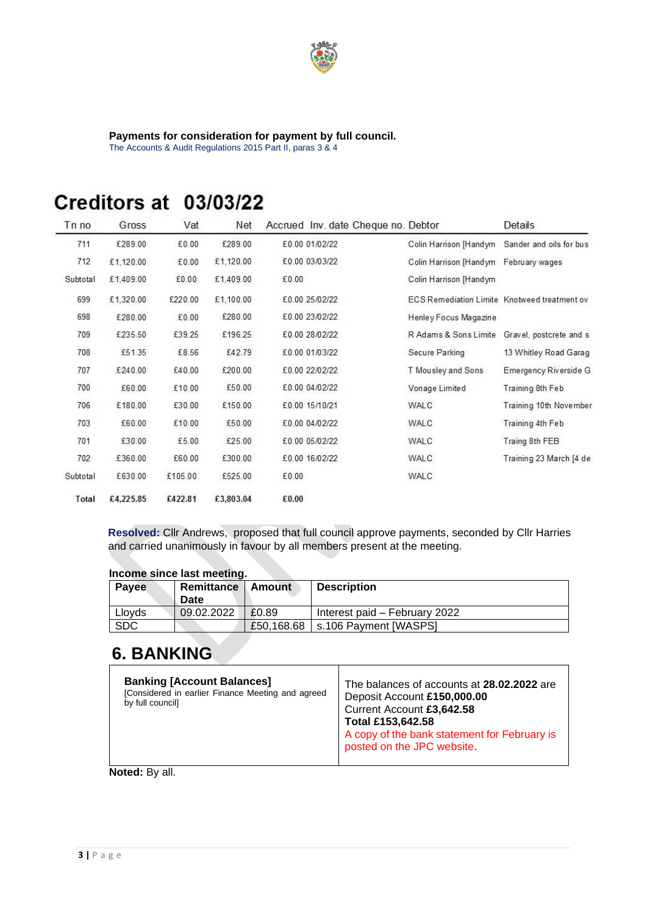

### **Payments for consideration for payment by full council.**

The Accounts & Audit Regulations 2015 Part II, paras 3 & 4

## Creditors at 03/03/22

| Tn no    | Gross     | Vat     | Net       | Accrued Inv. date Cheque no. Debtor |                                              | Details                 |
|----------|-----------|---------|-----------|-------------------------------------|----------------------------------------------|-------------------------|
| 711      | £289.00   | £0.00   | £289.00   | £0.00 01/02/22                      | Colin Harrison [Handym                       | Sander and oils for bus |
| 712      | £1,120.00 | £0.00   | £1,120.00 | £0.00 03/03/22                      | Colin Harrison [Handym February wages        |                         |
| Subtotal | £1,409.00 | £0.00   | £1,409.00 | £0.00                               | Colin Harrison [Handym                       |                         |
| 699      | £1,320.00 | £220.00 | £1,100.00 | £0.00 25/02/22                      | ECS Remediation Limite Knotweed treatment ov |                         |
| 698      | £280.00   | £0.00   | £280.00   | £0.00 23/02/22                      | Henley Focus Magazine                        |                         |
| 709      | £235.50   | £39.25  | £196.25   | £0.00 28/02/22                      | R Adams & Sons Limite                        | Gravel, postcrete and s |
| 708      | £51.35    | £8.56   | £42.79    | £0.00 01/03/22                      | Secure Parking                               | 13 Whitley Road Garag   |
| 707      | £240.00   | £40.00  | £200.00   | £0.00 22/02/22                      | T Mousley and Sons                           | Emergency Riverside G   |
| 700      | £60.00    | £10.00  | £50.00    | £0.00 04/02/22                      | Vonage Limited                               | Training 8th Feb        |
| 706      | £180.00   | £30.00  | £150.00   | £0.00 15/10/21                      | WALC                                         | Training 10th November  |
| 703      | £60.00    | £10.00  | £50.00    | £0.00 04/02/22                      | WALC                                         | Training 4th Feb        |
| 701      | £30.00    | £5.00   | £25.00    | £0.00 05/02/22                      | WALC                                         | Traing 8th FEB          |
| 702      | £360.00   | £60.00  | £300.00   | £0.00 16/02/22                      | WALC                                         | Training 23 March [4 de |
| Subtotal | £630.00   | £105.00 | £525.00   | £0.00                               | WALC                                         |                         |
| Total    | £4,225.85 | £422.81 | £3,803.04 | £0.00                               |                                              |                         |

**Resolved:** Cllr Andrews, proposed that full council approve payments, seconded by Cllr Harries and carried unanimously in favour by all members present at the meeting.

### **Income since last meeting.**

| Payee      | <b>Remittance   Amount</b><br>Date |            | <b>Description</b>            |
|------------|------------------------------------|------------|-------------------------------|
| Lloyds     | 09.02.2022                         | £0.89      | Interest paid – February 2022 |
| <b>SDC</b> |                                    | £50,168.68 | s.106 Payment [WASPS]         |

### **6. BANKING**

| <b>Banking [Account Balances]</b><br>[Considered in earlier Finance Meeting and agreed<br>by full council] | The balances of accounts at 28.02.2022 are<br>Deposit Account £150,000.00<br>Current Account £3,642.58<br>Total £153,642.58<br>A copy of the bank statement for February is<br>posted on the JPC website. |
|------------------------------------------------------------------------------------------------------------|-----------------------------------------------------------------------------------------------------------------------------------------------------------------------------------------------------------|
|                                                                                                            |                                                                                                                                                                                                           |

### **Noted:** By all.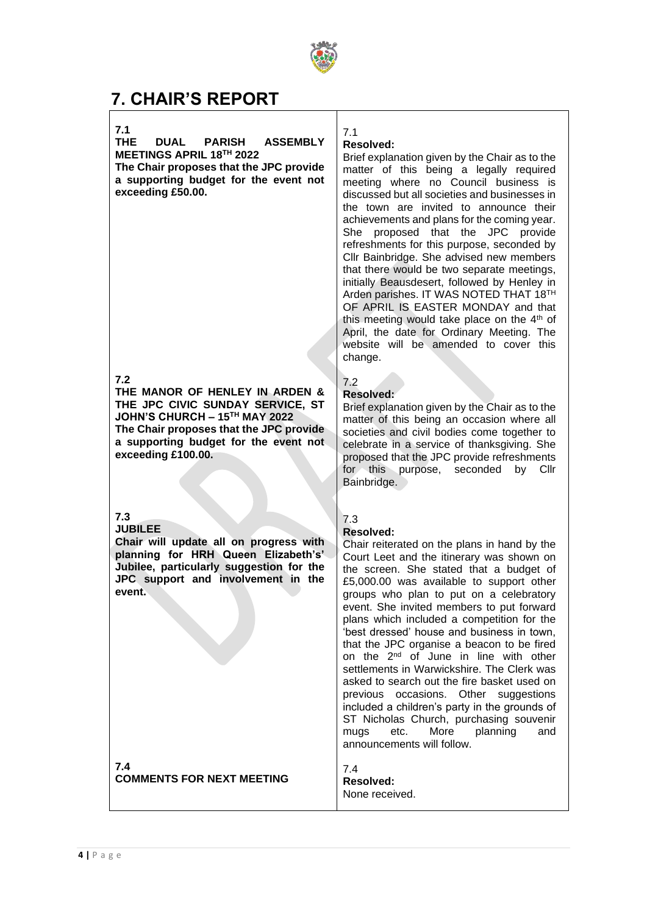

### **7. CHAIR'S REPORT**

**7.1 THE DUAL PARISH ASSEMBLY MEETINGS APRIL 18TH 2022**

**The Chair proposes that the JPC provide a supporting budget for the event not exceeding £50.00.**

### **7.2**

**THE MANOR OF HENLEY IN ARDEN & THE JPC CIVIC SUNDAY SERVICE, ST JOHN'S CHURCH – 15TH MAY 2022 The Chair proposes that the JPC provide a supporting budget for the event not exceeding £100.00.**

### **7.3**

**JUBILEE Chair will update all on progress with planning for HRH Queen Elizabeth's' Jubilee, particularly suggestion for the JPC support and involvement in the event.**

### 7.1

### **Resolved:**

Brief explanation given by the Chair as to the matter of this being a legally required meeting where no Council business is discussed but all societies and businesses in the town are invited to announce their achievements and plans for the coming year. She proposed that the JPC provide refreshments for this purpose, seconded by Cllr Bainbridge. She advised new members that there would be two separate meetings, initially Beausdesert, followed by Henley in Arden parishes. IT WAS NOTED THAT 18TH OF APRIL IS EASTER MONDAY and that this meeting would take place on the 4<sup>th</sup> of April, the date for Ordinary Meeting. The website will be amended to cover this change.

### 7.2

### **Resolved:**

Brief explanation given by the Chair as to the matter of this being an occasion where all societies and civil bodies come together to celebrate in a service of thanksgiving. She proposed that the JPC provide refreshments for this purpose, seconded by Cllr Bainbridge.

### 7.3

### **Resolved:**

Chair reiterated on the plans in hand by the Court Leet and the itinerary was shown on the screen. She stated that a budget of £5,000.00 was available to support other groups who plan to put on a celebratory event. She invited members to put forward plans which included a competition for the 'best dressed' house and business in town, that the JPC organise a beacon to be fired on the 2nd of June in line with other settlements in Warwickshire. The Clerk was asked to search out the fire basket used on previous occasions. Other suggestions included a children's party in the grounds of ST Nicholas Church, purchasing souvenir mugs etc. More planning and announcements will follow.

7.4 **Resolved:** None received.

**7.4 COMMENTS FOR NEXT MEETING**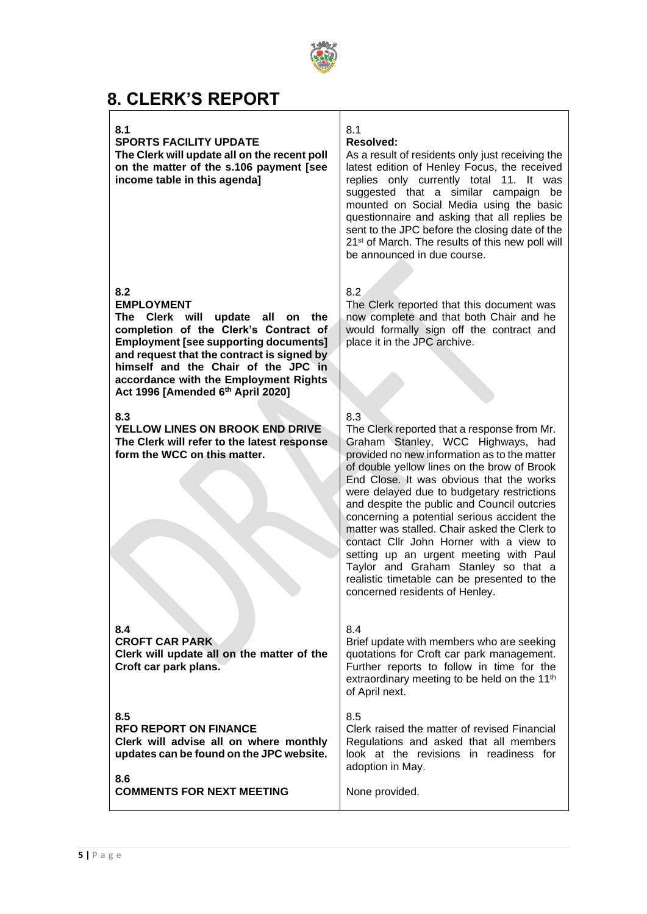

### **8. CLERK'S REPORT**

### **8.1**

### **SPORTS FACILITY UPDATE**

**The Clerk will update all on the recent poll on the matter of the s.106 payment [see income table in this agenda]** 

### **8.2**

#### **EMPLOYMENT**

**The Clerk will update all on the completion of the Clerk's Contract of Employment [see supporting documents] and request that the contract is signed by himself and the Chair of the JPC in accordance with the Employment Rights Act 1996 [Amended 6th April 2020]**

### **8.3**

**YELLOW LINES ON BROOK END DRIVE The Clerk will refer to the latest response form the WCC on this matter.**

### **8.4**

**CROFT CAR PARK Clerk will update all on the matter of the Croft car park plans.**

### **8.5**

**RFO REPORT ON FINANCE Clerk will advise all on where monthly updates can be found on the JPC website.**

**8.6 COMMENTS FOR NEXT MEETING**

#### $9.1$ **Resolved:**

As a result of residents only just receiving the latest edition of Henley Focus, the received replies only currently total 11. It was suggested that a similar campaign be mounted on Social Media using the basic questionnaire and asking that all replies be sent to the JPC before the closing date of the 21<sup>st</sup> of March. The results of this new poll will be announced in due course.

### 8.2

The Clerk reported that this document was now complete and that both Chair and he would formally sign off the contract and place it in the JPC archive.

### 8.3

The Clerk reported that a response from Mr. Graham Stanley, WCC Highways, had provided no new information as to the matter of double yellow lines on the brow of Brook End Close. It was obvious that the works were delayed due to budgetary restrictions and despite the public and Council outcries concerning a potential serious accident the matter was stalled. Chair asked the Clerk to contact Cllr John Horner with a view to setting up an urgent meeting with Paul Taylor and Graham Stanley so that a realistic timetable can be presented to the concerned residents of Henley.

### 8.4

Brief update with members who are seeking quotations for Croft car park management. Further reports to follow in time for the extraordinary meeting to be held on the 11<sup>th</sup> of April next.

### 8.5

Clerk raised the matter of revised Financial Regulations and asked that all members look at the revisions in readiness for adoption in May.

None provided.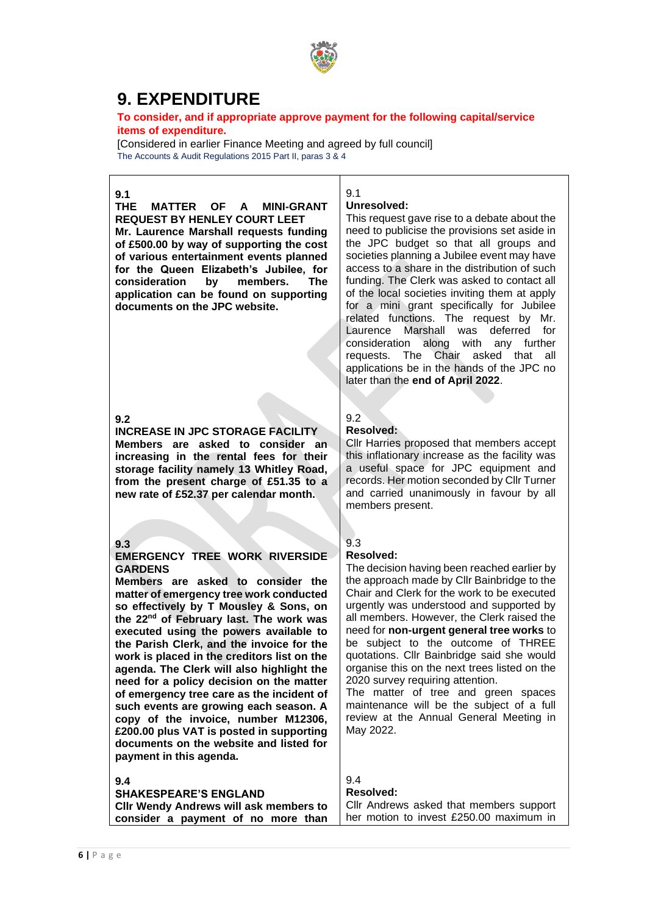

### **9. EXPENDITURE**

### **To consider, and if appropriate approve payment for the following capital/service items of expenditure.**

[Considered in earlier Finance Meeting and agreed by full council] The Accounts & Audit Regulations 2015 Part II, paras 3 & 4

#### **9.1 MATTER OF A MINI-GRANT REQUEST BY HENLEY COURT LEET**

**Mr. Laurence Marshall requests funding of £500.00 by way of supporting the cost of various entertainment events planned for the Queen Elizabeth's Jubilee, for consideration by members. The application can be found on supporting documents on the JPC website.**

### **9.2**

### **INCREASE IN JPC STORAGE FACILITY**

**Members are asked to consider an increasing in the rental fees for their storage facility namely 13 Whitley Road, from the present charge of £51.35 to a new rate of £52.37 per calendar month.**

#### **9.3**

#### **EMERGENCY TREE WORK RIVERSIDE GARDENS**

**Members are asked to consider the matter of emergency tree work conducted so effectively by T Mousley & Sons, on the 22nd of February last. The work was executed using the powers available to the Parish Clerk, and the invoice for the work is placed in the creditors list on the agenda. The Clerk will also highlight the need for a policy decision on the matter of emergency tree care as the incident of such events are growing each season. A copy of the invoice, number M12306, £200.00 plus VAT is posted in supporting documents on the website and listed for payment in this agenda.**

#### **9.4**

#### **SHAKESPEARE'S ENGLAND Cllr Wendy Andrews will ask members to consider a payment of no more than**

#### 9.1 **Unresolved:**

This request gave rise to a debate about the need to publicise the provisions set aside in the JPC budget so that all groups and societies planning a Jubilee event may have access to a share in the distribution of such funding. The Clerk was asked to contact all of the local societies inviting them at apply for a mini grant specifically for Jubilee related functions. The request by Mr. Laurence Marshall was deferred for consideration along with any further requests. The Chair asked that all applications be in the hands of the JPC no later than the **end of April 2022**.

### 9.2

### **Resolved:**

Cllr Harries proposed that members accept this inflationary increase as the facility was a useful space for JPC equipment and records. Her motion seconded by Cllr Turner and carried unanimously in favour by all members present.

### 9.3

### **Resolved:**

The decision having been reached earlier by the approach made by Cllr Bainbridge to the Chair and Clerk for the work to be executed urgently was understood and supported by all members. However, the Clerk raised the need for **non-urgent general tree works** to be subject to the outcome of THREE quotations. Cllr Bainbridge said she would organise this on the next trees listed on the 2020 survey requiring attention.

The matter of tree and green spaces maintenance will be the subject of a full review at the Annual General Meeting in May 2022.

### 9.4

### **Resolved:**

Cllr Andrews asked that members support her motion to invest £250.00 maximum in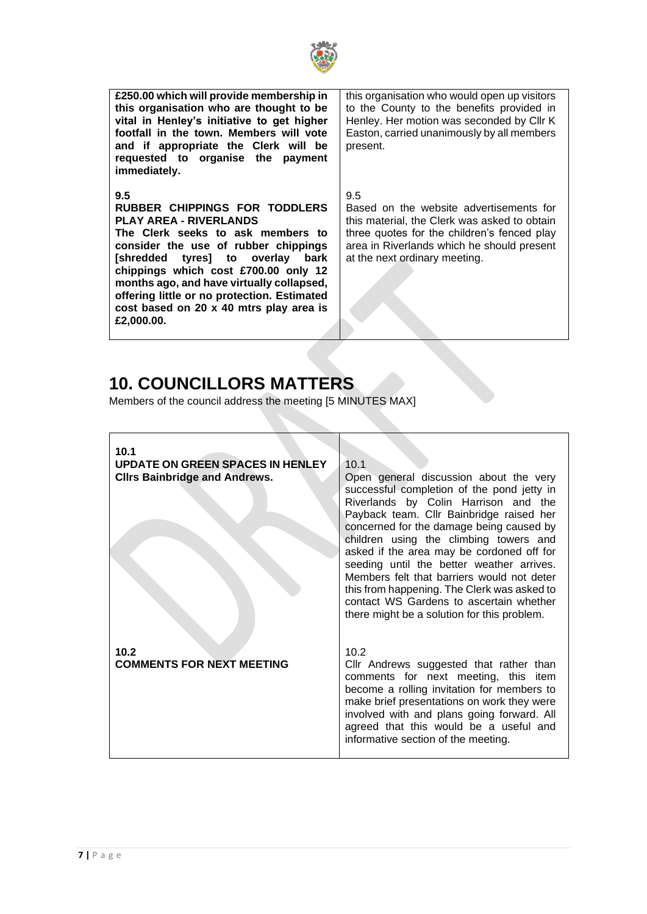

**£250.00 which will provide membership in this organisation who are thought to be vital in Henley's initiative to get higher footfall in the town. Members will vote and if appropriate the Clerk will be requested to organise the payment immediately.**

**9.5**

### **RUBBER CHIPPINGS FOR TODDLERS PLAY AREA - RIVERLANDS**

**The Clerk seeks to ask members to consider the use of rubber chippings [shredded tyres] to overlay bark chippings which cost £700.00 only 12 months ago, and have virtually collapsed, offering little or no protection. Estimated cost based on 20 x 40 mtrs play area is £2,000.00.**

this organisation who would open up visitors to the County to the benefits provided in Henley. Her motion was seconded by Cllr K Easton, carried unanimously by all members present.

9.5

Based on the website advertisements for this material, the Clerk was asked to obtain three quotes for the children's fenced play area in Riverlands which he should present at the next ordinary meeting.

### **10. COUNCILLORS MATTERS**

Members of the council address the meeting [5 MINUTES MAX]

| 10.1<br><b>UPDATE ON GREEN SPACES IN HENLEY</b><br><b>Clirs Bainbridge and Andrews.</b> | 10.1<br>Open general discussion about the very<br>successful completion of the pond jetty in<br>Riverlands by Colin Harrison and the<br>Payback team. Cllr Bainbridge raised her<br>concerned for the damage being caused by<br>children using the climbing towers and<br>asked if the area may be cordoned off for<br>seeding until the better weather arrives.<br>Members felt that barriers would not deter<br>this from happening. The Clerk was asked to<br>contact WS Gardens to ascertain whether<br>there might be a solution for this problem. |
|-----------------------------------------------------------------------------------------|---------------------------------------------------------------------------------------------------------------------------------------------------------------------------------------------------------------------------------------------------------------------------------------------------------------------------------------------------------------------------------------------------------------------------------------------------------------------------------------------------------------------------------------------------------|
| 10.2<br><b>COMMENTS FOR NEXT MEETING</b>                                                | 10.2<br>Cllr Andrews suggested that rather than<br>comments for next meeting, this item<br>become a rolling invitation for members to<br>make brief presentations on work they were<br>involved with and plans going forward. All<br>agreed that this would be a useful and<br>informative section of the meeting.                                                                                                                                                                                                                                      |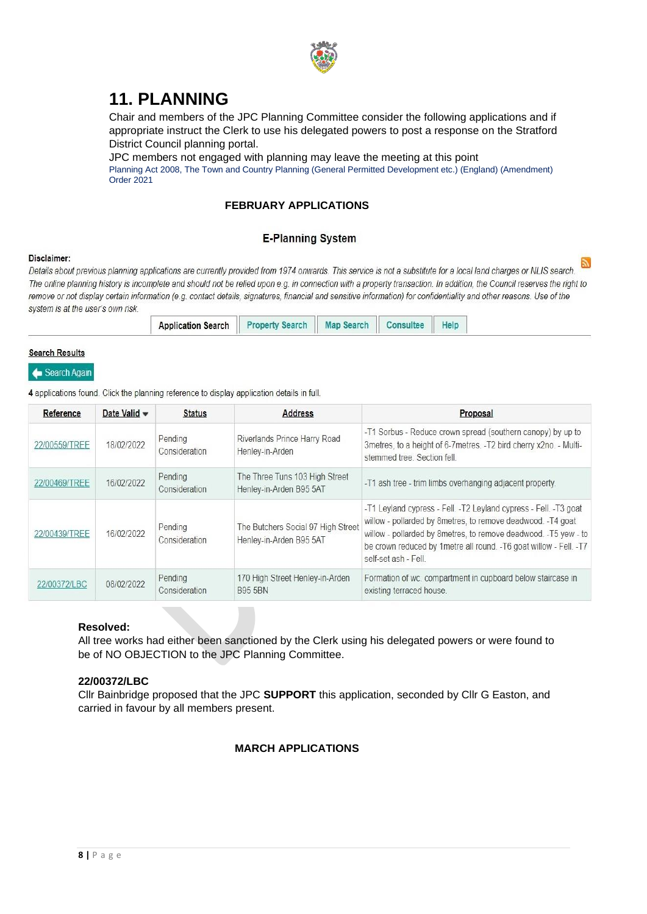

### **11. PLANNING**

Chair and members of the JPC Planning Committee consider the following applications and if appropriate instruct the Clerk to use his delegated powers to post a response on the Stratford District Council planning portal.

JPC members not engaged with planning may leave the meeting at this point Planning Act 2008, The Town and Country Planning (General Permitted Development etc.) (England) (Amendment) Order 2021

### **FEBRUARY APPLICATIONS**

### **E-Planning System**

#### Disclaimer:

Details about previous planning applications are currently provided from 1974 onwards. This service is not a substitute for a local land charges or NLIS search. The online planning history is incomplete and should not be relied upon e.g. in connection with a property transaction. In addition, the Council reserves the right to remove or not display certain information (e.g. contact details, signatures, financial and sensitive information) for confidentiality and other reasons. Use of the system is at the user's own risk.

#### **Search Results**

### Search Again

4 applications found. Click the planning reference to display application details in full.

| Reference     | Date Valid w | <b>Status</b>            | <b>Address</b>                                                | Proposal                                                                                                                                                                                                                                                                                           |
|---------------|--------------|--------------------------|---------------------------------------------------------------|----------------------------------------------------------------------------------------------------------------------------------------------------------------------------------------------------------------------------------------------------------------------------------------------------|
| 22/00559/TREE | 18/02/2022   | Pending<br>Consideration | Riverlands Prince Harry Road<br>Henley-in-Arden               | -T1 Sorbus - Reduce crown spread (southern canopy) by up to<br>3 metres, to a height of 6-7 metres. - T2 bird cherry x2no. - Multi-<br>stemmed tree Section fell.                                                                                                                                  |
| 22/00469/TREE | 16/02/2022   | Pending<br>Consideration | The Three Tuns 103 High Street<br>Henley-in-Arden B95 5AT     | -T1 ash tree - trim limbs overhanging adjacent property.                                                                                                                                                                                                                                           |
| 22/00439/TREE | 16/02/2022   | Pending<br>Consideration | The Butchers Social 97 High Street<br>Henley-in-Arden B95 5AT | -T1 Leyland cypress - Fell. -T2 Leyland cypress - Fell. -T3 goat<br>willow - pollarded by 8metres, to remove deadwood. -T4 goat<br>willow - pollarded by 8metres, to remove deadwood. -T5 yew - to<br>be crown reduced by 1 metre all round. - T6 goat willow - Fell. - T7<br>self-set ash - Fell. |
| 22/00372/LBC  | 08/02/2022   | Pending<br>Consideration | 170 High Street Henley-in-Arden<br><b>B95 5BN</b>             | Formation of wc. compartment in cupboard below staircase in<br>existing terraced house.                                                                                                                                                                                                            |

#### **Resolved:**

All tree works had either been sanctioned by the Clerk using his delegated powers or were found to be of NO OBJECTION to the JPC Planning Committee.

#### **22/00372/LBC**

Cllr Bainbridge proposed that the JPC **SUPPORT** this application, seconded by Cllr G Easton, and carried in favour by all members present.

### **MARCH APPLICATIONS**